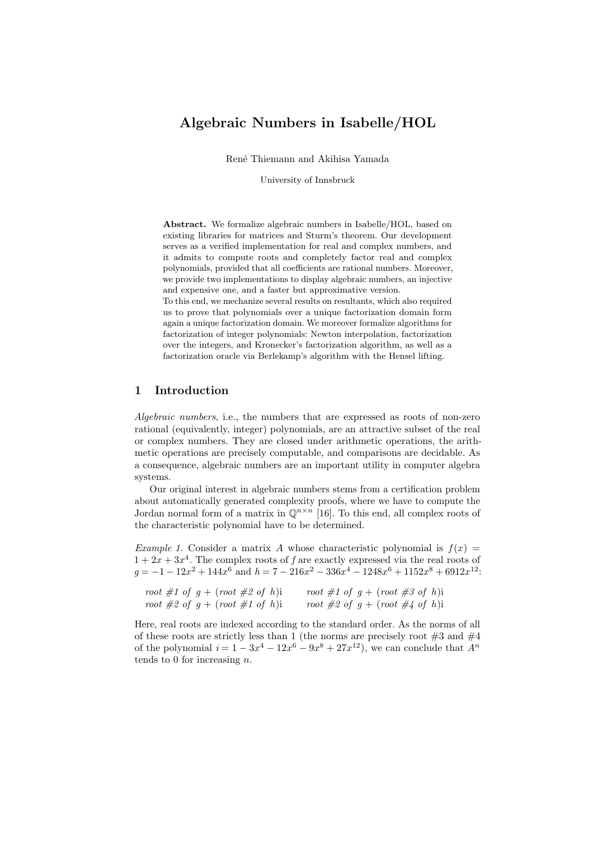# Algebraic Numbers in Isabelle/HOL

René Thiemann and Akihisa Yamada

University of Innsbruck

Abstract. We formalize algebraic numbers in Isabelle/HOL, based on existing libraries for matrices and Sturm's theorem. Our development serves as a verified implementation for real and complex numbers, and it admits to compute roots and completely factor real and complex polynomials, provided that all coefficients are rational numbers. Moreover, we provide two implementations to display algebraic numbers, an injective and expensive one, and a faster but approximative version.

To this end, we mechanize several results on resultants, which also required us to prove that polynomials over a unique factorization domain form again a unique factorization domain. We moreover formalize algorithms for factorization of integer polynomials: Newton interpolation, factorization over the integers, and Kronecker's factorization algorithm, as well as a factorization oracle via Berlekamp's algorithm with the Hensel lifting.

# 1 Introduction

Algebraic numbers, i.e., the numbers that are expressed as roots of non-zero rational (equivalently, integer) polynomials, are an attractive subset of the real or complex numbers. They are closed under arithmetic operations, the arithmetic operations are precisely computable, and comparisons are decidable. As a consequence, algebraic numbers are an important utility in computer algebra systems.

Our original interest in algebraic numbers stems from a certification problem about automatically generated complexity proofs, where we have to compute the Jordan normal form of a matrix in  $\mathbb{Q}^{n \times n}$  [\[16\]](#page-16-0). To this end, all complex roots of the characteristic polynomial have to be determined.

<span id="page-0-0"></span>Example 1. Consider a matrix A whose characteristic polynomial is  $f(x) =$  $1 + 2x + 3x<sup>4</sup>$ . The complex roots of f are exactly expressed via the real roots of  $g = -1 - 12x^2 + 144x^6$  and  $h = 7 - 216x^2 - 336x^4 - 1248x^6 + 1152x^8 + 6912x^{12}$ 

|  |  | root #1 of $g + (root \#2 \ of \ h)i$ |  |  |  |  | root #1 of $g + (root \#3 \ of \ h)i$ |  |  |
|--|--|---------------------------------------|--|--|--|--|---------------------------------------|--|--|
|  |  | root #2 of $g + (root \#1 \ of \ h)i$ |  |  |  |  | root #2 of $g + (root \#4 of h)i$     |  |  |

Here, real roots are indexed according to the standard order. As the norms of all of these roots are strictly less than 1 (the norms are precisely root  $\#3$  and  $\#4$ of the polynomial  $i = 1 - 3x^4 - 12x^6 - 9x^8 + 27x^{12}$ , we can conclude that  $A^n$ tends to 0 for increasing  $n$ .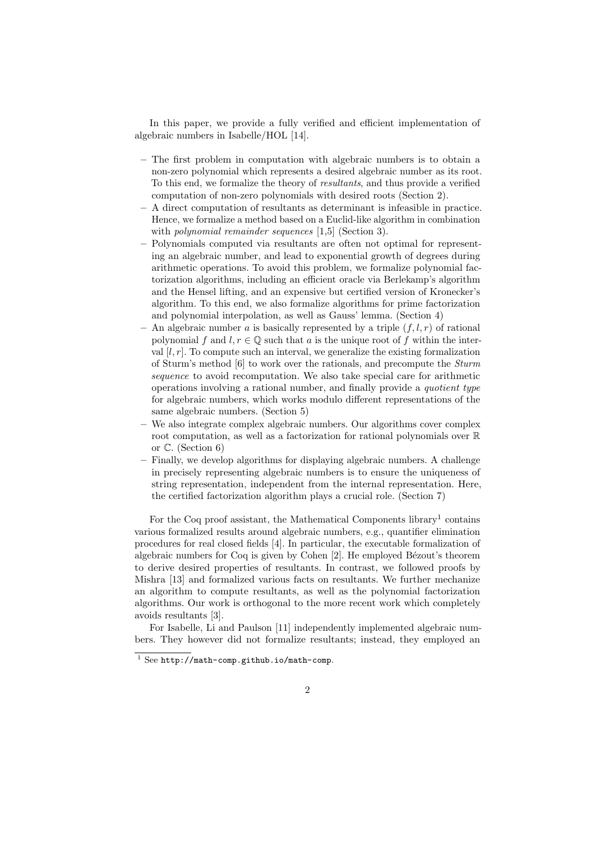In this paper, we provide a fully verified and efficient implementation of algebraic numbers in Isabelle/HOL [\[14\]](#page-16-1).

- The first problem in computation with algebraic numbers is to obtain a non-zero polynomial which represents a desired algebraic number as its root. To this end, we formalize the theory of resultants, and thus provide a verified computation of non-zero polynomials with desired roots (Section [2\)](#page-2-0).
- A direct computation of resultants as determinant is infeasible in practice. Hence, we formalize a method based on a Euclid-like algorithm in combination with *polynomial remainder sequences* [\[1](#page-16-2)[,5\]](#page-16-3) (Section [3\)](#page-5-0).
- Polynomials computed via resultants are often not optimal for representing an algebraic number, and lead to exponential growth of degrees during arithmetic operations. To avoid this problem, we formalize polynomial factorization algorithms, including an efficient oracle via Berlekamp's algorithm and the Hensel lifting, and an expensive but certified version of Kronecker's algorithm. To this end, we also formalize algorithms for prime factorization and polynomial interpolation, as well as Gauss' lemma. (Section [4\)](#page-8-0)
- An algebraic number a is basically represented by a triple  $(f, l, r)$  of rational polynomial f and  $l, r \in \mathbb{Q}$  such that a is the unique root of f within the interval  $[l, r]$ . To compute such an interval, we generalize the existing formalization of Sturm's method [\[6\]](#page-16-4) to work over the rationals, and precompute the Sturm sequence to avoid recomputation. We also take special care for arithmetic operations involving a rational number, and finally provide a quotient type for algebraic numbers, which works modulo different representations of the same algebraic numbers. (Section [5\)](#page-10-0)
- We also integrate complex algebraic numbers. Our algorithms cover complex root computation, as well as a factorization for rational polynomials over R or C. (Section [6\)](#page-14-0)
- Finally, we develop algorithms for displaying algebraic numbers. A challenge in precisely representing algebraic numbers is to ensure the uniqueness of string representation, independent from the internal representation. Here, the certified factorization algorithm plays a crucial role. (Section [7\)](#page-15-0)

For the Coq proof assistant, the Mathematical Components  $\text{library}^1$  $\text{library}^1$  contains various formalized results around algebraic numbers, e.g., quantifier elimination procedures for real closed fields [\[4\]](#page-16-5). In particular, the executable formalization of algebraic numbers for  $Coq$  is given by  $Cohen$  [\[2\]](#page-16-6). He employed Bézout's theorem to derive desired properties of resultants. In contrast, we followed proofs by Mishra [\[13\]](#page-16-7) and formalized various facts on resultants. We further mechanize an algorithm to compute resultants, as well as the polynomial factorization algorithms. Our work is orthogonal to the more recent work which completely avoids resultants [\[3\]](#page-16-8).

For Isabelle, Li and Paulson [\[11\]](#page-16-9) independently implemented algebraic numbers. They however did not formalize resultants; instead, they employed an

<span id="page-1-0"></span> $1$  See <http://math-comp.github.io/math-comp>.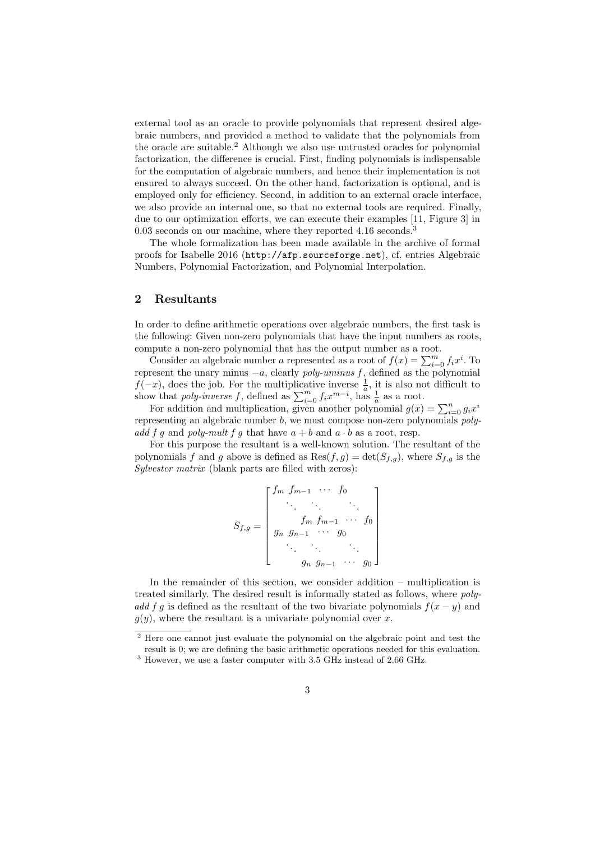external tool as an oracle to provide polynomials that represent desired algebraic numbers, and provided a method to validate that the polynomials from the oracle are suitable.<sup>[2](#page-2-1)</sup> Although we also use untrusted oracles for polynomial factorization, the difference is crucial. First, finding polynomials is indispensable for the computation of algebraic numbers, and hence their implementation is not ensured to always succeed. On the other hand, factorization is optional, and is employed only for efficiency. Second, in addition to an external oracle interface, we also provide an internal one, so that no external tools are required. Finally, due to our optimization efforts, we can execute their examples [\[11,](#page-16-9) Figure 3] in 0.0[3](#page-2-2) seconds on our machine, where they reported 4.16 seconds.<sup>3</sup>

The whole formalization has been made available in the archive of formal proofs for Isabelle 2016 (<http://afp.sourceforge.net>), cf. entries Algebraic Numbers, Polynomial Factorization, and Polynomial Interpolation.

## <span id="page-2-0"></span>2 Resultants

In order to define arithmetic operations over algebraic numbers, the first task is the following: Given non-zero polynomials that have the input numbers as roots, compute a non-zero polynomial that has the output number as a root.

Consider an algebraic number a represented as a root of  $f(x) = \sum_{i=0}^{m} f_i x^i$ . To represent the unary minus  $-a$ , clearly *poly-uminus f*, defined as the polynomial  $f(-x)$ , does the job. For the multiplicative inverse  $\frac{1}{a}$ , it is also not difficult to show that *poly-inverse* f, defined as  $\sum_{i=0}^{m} f_i x^{m-i}$ , has  $\frac{1}{a}$  as a root.

For addition and multiplication, given another polynomial  $g(x) = \sum_{i=0}^{n} g_i x^i$ representing an algebraic number b, we must compose non-zero polynomials *poly*add f g and poly-mult f g that have  $a + b$  and  $a \cdot b$  as a root, resp.

For this purpose the resultant is a well-known solution. The resultant of the polynomials f and g above is defined as  $\text{Res}(f,g) = \det(S_{f,g})$ , where  $S_{f,g}$  is the Sylvester matrix (blank parts are filled with zeros):

$$
S_{f,g} = \begin{bmatrix} f_m & f_{m-1} & \cdots & f_0 \\ \vdots & \vdots & \ddots & \vdots \\ f_m & f_{m-1} & \cdots & f_0 \\ g_n & g_{n-1} & \cdots & g_0 \\ \vdots & \vdots & \ddots & \vdots \\ g_n & g_{n-1} & \cdots & g_0 \end{bmatrix}
$$

In the remainder of this section, we consider addition – multiplication is treated similarly. The desired result is informally stated as follows, where polyadd f g is defined as the resultant of the two bivariate polynomials  $f(x - y)$  and  $g(y)$ , where the resultant is a univariate polynomial over x.

<span id="page-2-1"></span><sup>&</sup>lt;sup>2</sup> Here one cannot just evaluate the polynomial on the algebraic point and test the result is 0; we are defining the basic arithmetic operations needed for this evaluation.

<span id="page-2-2"></span> $^3$  However, we use a faster computer with 3.5 GHz instead of 2.66 GHz.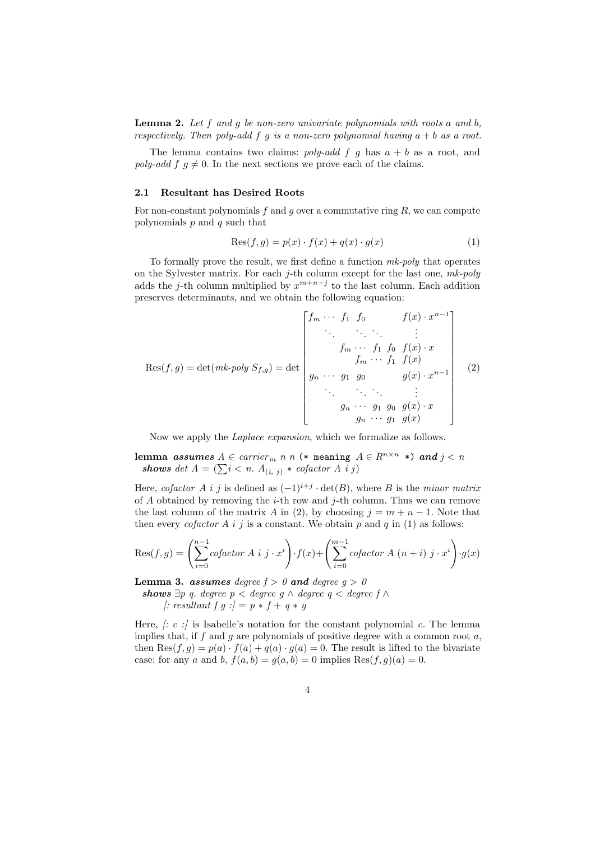**Lemma 2.** Let  $f$  and  $g$  be non-zero univariate polynomials with roots  $a$  and  $b$ , respectively. Then poly-add f g is a non-zero polynomial having  $a + b$  as a root.

The lemma contains two claims: poly-add f g has  $a + b$  as a root, and poly-add f  $q \neq 0$ . In the next sections we prove each of the claims.

#### 2.1 Resultant has Desired Roots

For non-constant polynomials  $f$  and  $g$  over a commutative ring  $R$ , we can compute polynomials  $p$  and  $q$  such that

<span id="page-3-1"></span><span id="page-3-0"></span>
$$
Res(f,g) = p(x) \cdot f(x) + q(x) \cdot g(x)
$$
\n(1)

To formally prove the result, we first define a function mk-poly that operates on the Sylvester matrix. For each  $j$ -th column except for the last one,  $mk-poly$ adds the j-th column multiplied by  $x^{m+n-j}$  to the last column. Each addition preserves determinants, and we obtain the following equation:

$$
Res(f,g) = det(mk-poly S_{f,g}) = det \begin{bmatrix} f_m & \cdots & f_1 & f_0 & f(x) \cdot x^{n-1} \\ \vdots & \vdots & \ddots & \vdots \\ f_m & \cdots & f_1 & f_0 & f(x) \cdot x \\ f_m & \cdots & f_1 & f(x) & f(x) \\ \vdots & \vdots & \ddots & \vdots & \vdots \\ g_n & \cdots & g_1 & g_0 & g(x) \cdot x \\ g_n & \cdots & g_1 & g(x) & g(x) \end{bmatrix}
$$
 (2)

Now we apply the *Laplace expansion*, which we formalize as follows.

lemma assumes  $A \in carrier_m$  n n (\* meaning  $A \in R^{n \times n}$  \*) and  $j < n$ shows det  $A = (\sum i \langle n, A_{(i, j)} \rangle * cofactor A i j)$ 

Here, cofactor A i j is defined as  $(-1)^{i+j} \cdot det(B)$ , where B is the minor matrix of A obtained by removing the *i*-th row and *j*-th column. Thus we can remove the last column of the matrix A in [\(2\)](#page-3-0), by choosing  $j = m + n - 1$ . Note that then every *cofactor* A i j is a constant. We obtain p and q in [\(1\)](#page-3-1) as follows:

$$
Res(f,g) = \left(\sum_{i=0}^{n-1} cofactor A i j \cdot x^{i}\right) \cdot f(x) + \left(\sum_{i=0}^{m-1} cofactor A (n+i) j \cdot x^{i}\right) \cdot g(x)
$$

<span id="page-3-2"></span>**Lemma 3. assumes** degree  $f > 0$  and degree  $g > 0$ 

shows  $\exists p \ q$ . degree  $p <$  degree  $q \land$  degree  $q <$  degree  $f \land$  $\therefore$  resultant f g : $\rangle = p * f + q * g$ 

Here,  $\therefore$  c : is Isabelle's notation for the constant polynomial c. The lemma implies that, if  $f$  and  $g$  are polynomials of positive degree with a common root  $a$ , then  $\text{Res}(f, g) = p(a) \cdot f(a) + q(a) \cdot g(a) = 0$ . The result is lifted to the bivariate case: for any a and b,  $f(a, b) = g(a, b) = 0$  implies  $\text{Res}(f, g)(a) = 0$ .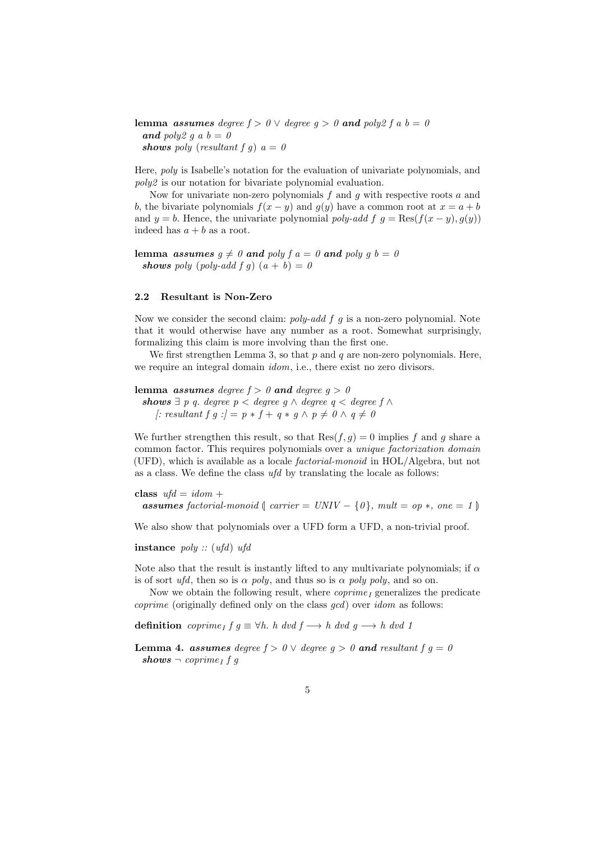lemma assumes degree  $f > 0 \vee$  degree  $g > 0$  and poly2 f a  $b = 0$ and poly2 g a  $b = 0$ shows poly (resultant f g)  $a = 0$ 

Here, poly is Isabelle's notation for the evaluation of univariate polynomials, and poly2 is our notation for bivariate polynomial evaluation.

Now for univariate non-zero polynomials  $f$  and  $g$  with respective roots  $a$  and b, the bivariate polynomials  $f(x - y)$  and  $g(y)$  have a common root at  $x = a + b$ and  $y = b$ . Hence, the univariate polynomial poly-add f  $g = \text{Res}(f(x - y), g(y))$ indeed has  $a + b$  as a root.

lemma assumes  $g \neq 0$  and poly  $f a = 0$  and poly  $g b = 0$ shows poly (poly-add f g)  $(a + b) = 0$ 

### 2.2 Resultant is Non-Zero

Now we consider the second claim:  $poly-add f g$  is a non-zero polynomial. Note that it would otherwise have any number as a root. Somewhat surprisingly, formalizing this claim is more involving than the first one.

We first strengthen Lemma [3,](#page-3-2) so that  $p$  and  $q$  are non-zero polynomials. Here, we require an integral domain *idom*, i.e., there exist no zero divisors.

lemma *assumes degree*  $f > 0$  and degree  $g > 0$ 

shows  $\exists p q$ . degree  $p <$  degree  $q \wedge$  degree  $q <$  degree  $f \wedge$ |: resultant f g : $\rho = p * f + q * g \wedge p \neq 0 \wedge q \neq 0$ 

We further strengthen this result, so that  $\text{Res}(f, g) = 0$  implies f and g share a common factor. This requires polynomials over a unique factorization domain (UFD), which is available as a locale factorial-monoid in HOL/Algebra, but not as a class. We define the class ufd by translating the locale as follows:

class  $\textit{ufd} = \textit{idom} +$ **assumes** factorial-monoid  $\int$  carrier = UNIV –  $\{0\}$ , mult = op \*, one = 1  $\}$ 

We also show that polynomials over a UFD form a UFD, a non-trivial proof.

instance  $poly::(ufd)$  ufd

Note also that the result is instantly lifted to any multivariate polynomials; if  $\alpha$ is of sort ufd, then so is  $\alpha$  poly, and thus so is  $\alpha$  poly poly, and so on.

Now we obtain the following result, where  $coprime_I$  generalizes the predicate coprime (originally defined only on the class gcd) over idom as follows:

definition coprime<sub>I</sub>  $f g \equiv \forall h$ . h dvd  $f \rightarrow h$  dvd g  $\rightarrow h$  dvd 1

<span id="page-4-0"></span>**Lemma 4. assumes** degree  $f > 0 \vee$  degree  $g > 0$  and resultant  $f \circ g = 0$  $\mathbf{shows} = coprime_I fg$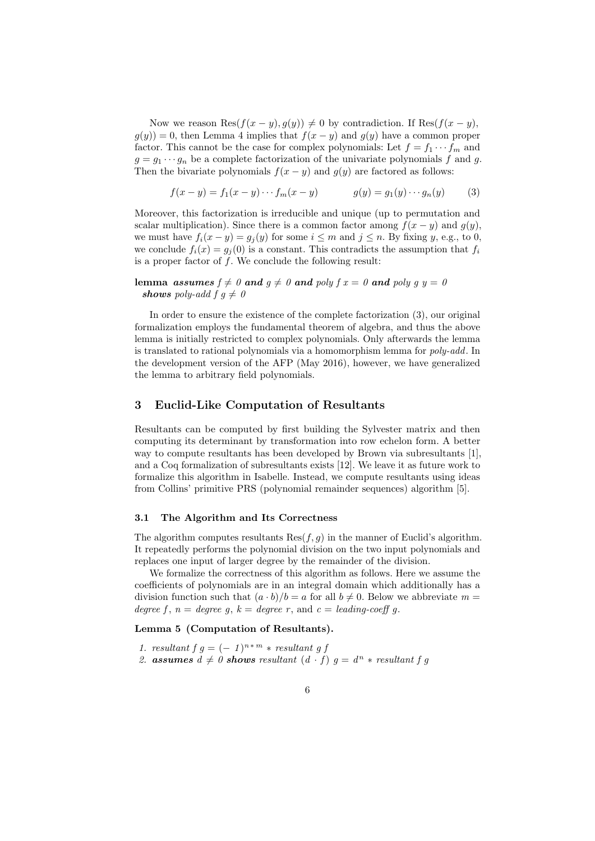Now we reason Res $(f(x - y), g(y)) \neq 0$  by contradiction. If Res $(f(x - y), g(y))$  $g(y) = 0$ , then Lemma [4](#page-4-0) implies that  $f(x - y)$  and  $g(y)$  have a common proper factor. This cannot be the case for complex polynomials: Let  $f = f_1 \cdots f_m$  and  $g = g_1 \cdots g_n$  be a complete factorization of the univariate polynomials f and g. Then the bivariate polynomials  $f(x - y)$  and  $g(y)$  are factored as follows:

<span id="page-5-1"></span>
$$
f(x - y) = f_1(x - y) \cdots f_m(x - y) \qquad g(y) = g_1(y) \cdots g_n(y) \qquad (3)
$$

Moreover, this factorization is irreducible and unique (up to permutation and scalar multiplication). Since there is a common factor among  $f(x - y)$  and  $g(y)$ , we must have  $f_i(x-y) = g_i(y)$  for some  $i \leq m$  and  $j \leq n$ . By fixing y, e.g., to 0, we conclude  $f_i(x) = g_i(0)$  is a constant. This contradicts the assumption that  $f_i$ is a proper factor of f. We conclude the following result:

lemma assumes  $f \neq 0$  and  $g \neq 0$  and poly  $f x = 0$  and poly  $g y = 0$ shows poly-add  $f \, g \neq 0$ 

In order to ensure the existence of the complete factorization [\(3\)](#page-5-1), our original formalization employs the fundamental theorem of algebra, and thus the above lemma is initially restricted to complex polynomials. Only afterwards the lemma is translated to rational polynomials via a homomorphism lemma for poly-add. In the development version of the AFP (May 2016), however, we have generalized the lemma to arbitrary field polynomials.

### <span id="page-5-0"></span>3 Euclid-Like Computation of Resultants

Resultants can be computed by first building the Sylvester matrix and then computing its determinant by transformation into row echelon form. A better way to compute resultants has been developed by Brown via subresultants [\[1\]](#page-16-2), and a Coq formalization of subresultants exists [\[12\]](#page-16-10). We leave it as future work to formalize this algorithm in Isabelle. Instead, we compute resultants using ideas from Collins' primitive PRS (polynomial remainder sequences) algorithm [\[5\]](#page-16-3).

### <span id="page-5-3"></span>3.1 The Algorithm and Its Correctness

The algorithm computes resultants  $\text{Res}(f, g)$  in the manner of Euclid's algorithm. It repeatedly performs the polynomial division on the two input polynomials and replaces one input of larger degree by the remainder of the division.

We formalize the correctness of this algorithm as follows. Here we assume the coefficients of polynomials are in an integral domain which additionally has a division function such that  $(a \cdot b)/b = a$  for all  $b \neq 0$ . Below we abbreviate  $m =$ degree f,  $n = degree\ g$ ,  $k = degree\ r$ , and  $c = leading-coeff\ g$ .

### <span id="page-5-2"></span>Lemma 5 (Computation of Resultants).

- 1. resultant  $f \, g = (-1)^{n+m} * result$
- 2. assumes  $d \neq 0$  shows resultant  $(d \cdot f)$   $g = d^n * \text{resultant } f$  g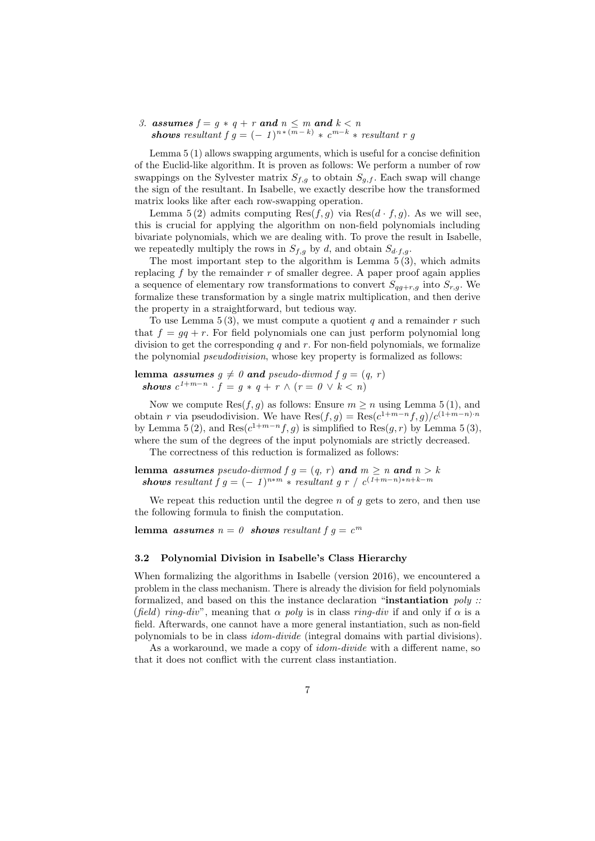3. assumes  $f = g * q + r$  and  $n \leq m$  and  $k < n$ shows resultant  $f \, g = (-1)^{n*(m-k)} * c^{m-k} * result$  resultant r g

Lemma [5](#page-5-2) (1) allows swapping arguments, which is useful for a concise definition of the Euclid-like algorithm. It is proven as follows: We perform a number of row swappings on the Sylvester matrix  $S_{f,g}$  to obtain  $S_{g,f}$ . Each swap will change the sign of the resultant. In Isabelle, we exactly describe how the transformed matrix looks like after each row-swapping operation.

Lemma [5](#page-5-2)(2) admits computing  $\text{Res}(f,g)$  via  $\text{Res}(d \cdot f,g)$ . As we will see, this is crucial for applying the algorithm on non-field polynomials including bivariate polynomials, which we are dealing with. To prove the result in Isabelle, we repeatedly multiply the rows in  $S_{f,g}$  by d, and obtain  $S_{d,f,g}$ .

The most important step to the algorithm is Lemma  $5(3)$ , which admits replacing  $f$  by the remainder  $r$  of smaller degree. A paper proof again applies a sequence of elementary row transformations to convert  $S_{qg+r,g}$  into  $S_{r,g}$ . We formalize these transformation by a single matrix multiplication, and then derive the property in a straightforward, but tedious way.

To use Lemma  $5(3)$ , we must compute a quotient q and a remainder r such that  $f = gq + r$ . For field polynomials one can just perform polynomial long division to get the corresponding  $q$  and  $r$ . For non-field polynomials, we formalize the polynomial *pseudodivision*, whose key property is formalized as follows:

lemma assumes  $g \neq 0$  and pseudo-divmod  $f g = (q, r)$ shows  $c^{1+m-n} \cdot f = g * q + r \wedge (r = 0 \vee k < n)$ 

Now we compute  $\text{Res}(f, g)$  as follows: Ensure  $m \geq n$  using Lemma [5](#page-5-2) (1), and obtain r via pseudodivision. We have  $\text{Res}(f,g) = \text{Res}(c^{1+m-n}f,g)/c^{(1+m-n)\cdot n}$ by Lemma [5](#page-5-2) (2), and Res $(c^{1+m-n}f,g)$  is simplified to Res $(g,r)$  by Lemma 5 (3), where the sum of the degrees of the input polynomials are strictly decreased.

The correctness of this reduction is formalized as follows:

lemma assumes pseudo-divmod  $f g = (q, r)$  and  $m \ge n$  and  $n > k$ shows resultant  $fg = (-1)^{n*m} * resultant\ g\ r\ / \ c^{(1+m-n)*n+k-m}$ 

We repeat this reduction until the degree  $n$  of  $q$  gets to zero, and then use the following formula to finish the computation.

lemma assumes  $n = 0$  shows resultant  $f g = c<sup>m</sup>$ 

#### 3.2 Polynomial Division in Isabelle's Class Hierarchy

When formalizing the algorithms in Isabelle (version 2016), we encountered a problem in the class mechanism. There is already the division for field polynomials formalized, and based on this the instance declaration "instantiation  $poly$ : (field) ring-div", meaning that  $\alpha$  poly is in class ring-div if and only if  $\alpha$  is a field. Afterwards, one cannot have a more general instantiation, such as non-field polynomials to be in class idom-divide (integral domains with partial divisions).

As a workaround, we made a copy of *idom-divide* with a different name, so that it does not conflict with the current class instantiation.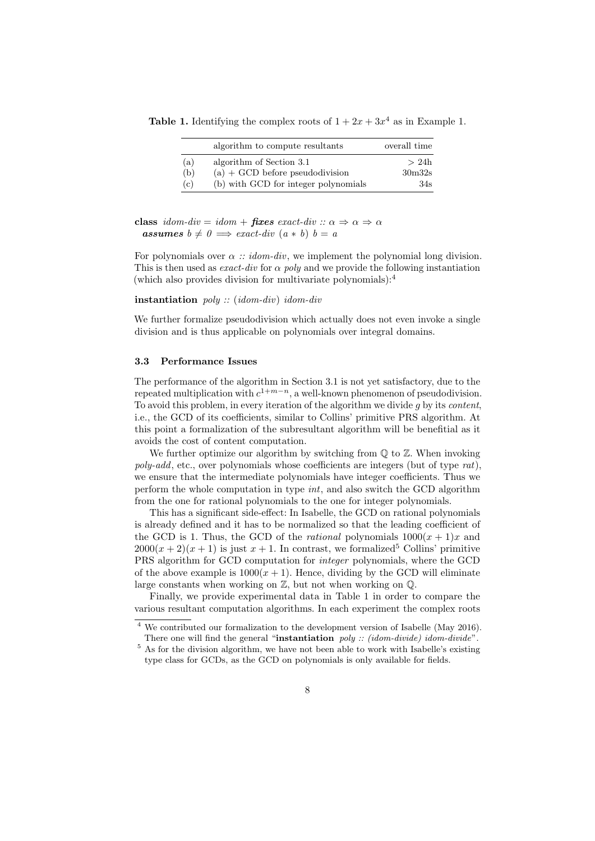**Table [1.](#page-0-0)** Identifying the complex roots of  $1 + 2x + 3x^4$  as in Example 1.

<span id="page-7-2"></span>

|     | algorithm to compute resultants      | overall time       |
|-----|--------------------------------------|--------------------|
| (a) | algorithm of Section 3.1             | >24h               |
| (b) | $(a) + GCD$ before pseudodivision    | 30 <sub>m32s</sub> |
| (c) | (b) with GCD for integer polynomials | 34s                |

class idom-div = idom + fixes exact-div ::  $\alpha \Rightarrow \alpha \Rightarrow \alpha$ **assumes**  $b \neq 0 \implies exact-div (a * b) b = a$ 

For polynomials over  $\alpha$  :: idom-div, we implement the polynomial long division. This is then used as *exact-div* for  $\alpha$  *poly* and we provide the following instantiation (which also provides division for multivariate polynomials): $<sup>4</sup>$  $<sup>4</sup>$  $<sup>4</sup>$ </sup>

instantiation poly :: (idom-div) idom-div

We further formalize pseudodivision which actually does not even invoke a single division and is thus applicable on polynomials over integral domains.

### 3.3 Performance Issues

The performance of the algorithm in Section [3.1](#page-5-3) is not yet satisfactory, due to the repeated multiplication with  $c^{1+m-n}$ , a well-known phenomenon of pseudodivision. To avoid this problem, in every iteration of the algorithm we divide  $g$  by its *content*, i.e., the GCD of its coefficients, similar to Collins' primitive PRS algorithm. At this point a formalization of the subresultant algorithm will be benefitial as it avoids the cost of content computation.

We further optimize our algorithm by switching from  $\mathbb Q$  to  $\mathbb Z$ . When invoking  $poly-add$ , etc., over polynomials whose coefficients are integers (but of type  $rat$ ), we ensure that the intermediate polynomials have integer coefficients. Thus we perform the whole computation in type int, and also switch the GCD algorithm from the one for rational polynomials to the one for integer polynomials.

This has a significant side-effect: In Isabelle, the GCD on rational polynomials is already defined and it has to be normalized so that the leading coefficient of the GCD is 1. Thus, the GCD of the *rational* polynomials  $1000(x + 1)x$  and  $2000(x + 2)(x + 1)$  is just  $x + 1$ . In contrast, we formalized<sup>[5](#page-7-1)</sup> Collins' primitive PRS algorithm for GCD computation for integer polynomials, where the GCD of the above example is  $1000(x + 1)$ . Hence, dividing by the GCD will eliminate large constants when working on  $\mathbb{Z}$ , but not when working on  $\mathbb{Q}$ .

Finally, we provide experimental data in Table [1](#page-7-2) in order to compare the various resultant computation algorithms. In each experiment the complex roots

<span id="page-7-0"></span><sup>4</sup> We contributed our formalization to the development version of Isabelle (May 2016).

<span id="page-7-1"></span>There one will find the general "instantiation poly :: (idom-divide) idom-divide". <sup>5</sup> As for the division algorithm, we have not been able to work with Isabelle's existing type class for GCDs, as the GCD on polynomials is only available for fields.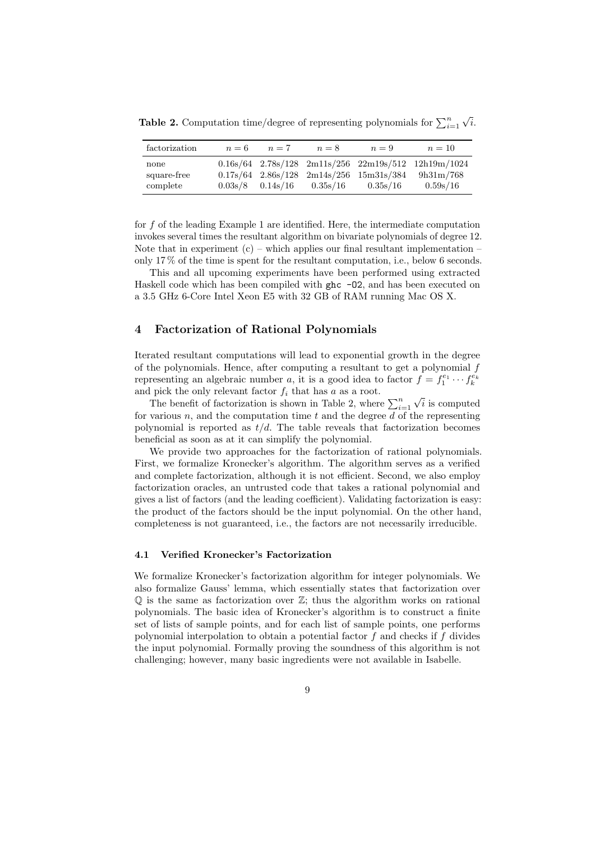<span id="page-8-1"></span>**Table 2.** Computation time/degree of representing polynomials for  $\sum_{i=1}^{n}$ √ i.

| factorization                   | $n=6$ | $n=7$ | $n=8$                                      | $n=9$                                           | $n=10$                                                                                 |
|---------------------------------|-------|-------|--------------------------------------------|-------------------------------------------------|----------------------------------------------------------------------------------------|
| none<br>square-free<br>complete |       |       | $0.03s/8$ $0.14s/16$ $0.35s/16$ $0.35s/16$ | $0.17s/64$ $2.86s/128$ $2m14s/256$ $15m31s/384$ | $0.16s/64$ $2.78s/128$ $2m11s/256$ $22m19s/512$ $12h19m/1024$<br>9h31m/768<br>0.59s/16 |

for f of the leading Example [1](#page-0-0) are identified. Here, the intermediate computation invokes several times the resultant algorithm on bivariate polynomials of degree 12. Note that in experiment  $(c)$  – which applies our final resultant implementation – only 17 % of the time is spent for the resultant computation, i.e., below 6 seconds.

This and all upcoming experiments have been performed using extracted Haskell code which has been compiled with ghc -02, and has been executed on a 3.5 GHz 6-Core Intel Xeon E5 with 32 GB of RAM running Mac OS X.

### <span id="page-8-0"></span>4 Factorization of Rational Polynomials

Iterated resultant computations will lead to exponential growth in the degree of the polynomials. Hence, after computing a resultant to get a polynomial  $f$ representing an algebraic number a, it is a good idea to factor  $f = f_1^{e_1} \cdots f_k^{e_k}$ and pick the only relevant factor  $f_i$  that has  $a$  as a root. √

The benefit of factorization is shown in Table [2,](#page-8-1) where  $\sum_{i=1}^{n}$ i is computed for various n, and the computation time t and the degree d of the representing polynomial is reported as  $t/d$ . The table reveals that factorization becomes beneficial as soon as at it can simplify the polynomial.

We provide two approaches for the factorization of rational polynomials. First, we formalize Kronecker's algorithm. The algorithm serves as a verified and complete factorization, although it is not efficient. Second, we also employ factorization oracles, an untrusted code that takes a rational polynomial and gives a list of factors (and the leading coefficient). Validating factorization is easy: the product of the factors should be the input polynomial. On the other hand, completeness is not guaranteed, i.e., the factors are not necessarily irreducible.

### 4.1 Verified Kronecker's Factorization

We formalize Kronecker's factorization algorithm for integer polynomials. We also formalize Gauss' lemma, which essentially states that factorization over  $\mathbb Q$  is the same as factorization over  $\mathbb Z$ ; thus the algorithm works on rational polynomials. The basic idea of Kronecker's algorithm is to construct a finite set of lists of sample points, and for each list of sample points, one performs polynomial interpolation to obtain a potential factor  $f$  and checks if  $f$  divides the input polynomial. Formally proving the soundness of this algorithm is not challenging; however, many basic ingredients were not available in Isabelle.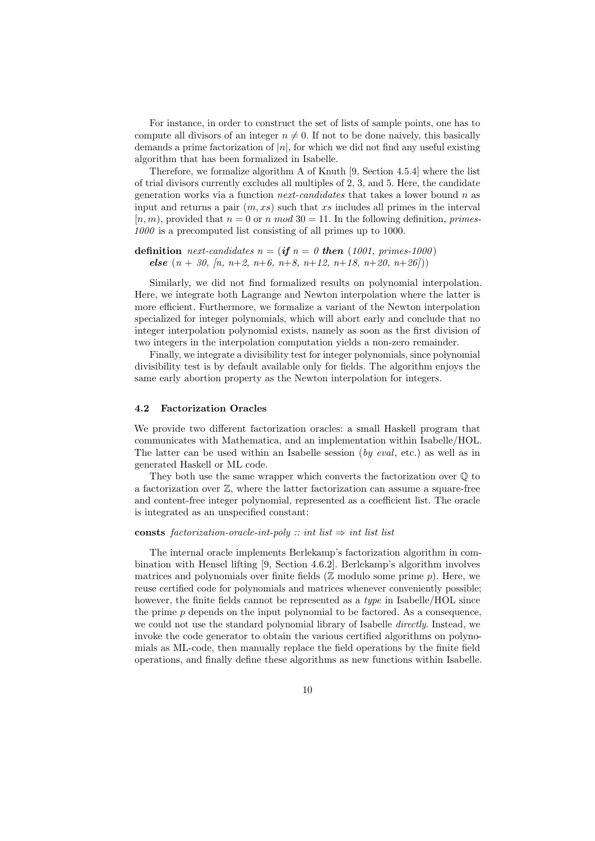For instance, in order to construct the set of lists of sample points, one has to compute all divisors of an integer  $n \neq 0$ . If not to be done naively, this basically demands a prime factorization of  $|n|$ , for which we did not find any useful existing algorithm that has been formalized in Isabelle.

Therefore, we formalize algorithm A of Knuth [\[9,](#page-16-11) Section 4.5.4] where the list of trial divisors currently excludes all multiples of 2, 3, and 5. Here, the candidate generation works via a function *next-candidates* that takes a lower bound n as input and returns a pair  $(m, xs)$  such that xs includes all primes in the interval  $[n, m)$ , provided that  $n = 0$  or n mod  $30 = 11$ . In the following definition, primes-1000 is a precomputed list consisting of all primes up to 1000.

```
definition next-candidates n = (\textbf{if } n = 0 \textbf{ then } (1001, \textbf{ primes-1000})else (n + 30, n, n+2, n+6, n+8, n+12, n+18, n+20, n+26))
```
Similarly, we did not find formalized results on polynomial interpolation. Here, we integrate both Lagrange and Newton interpolation where the latter is more efficient. Furthermore, we formalize a variant of the Newton interpolation specialized for integer polynomials, which will abort early and conclude that no integer interpolation polynomial exists, namely as soon as the first division of two integers in the interpolation computation yields a non-zero remainder.

Finally, we integrate a divisibility test for integer polynomials, since polynomial divisibility test is by default available only for fields. The algorithm enjoys the same early abortion property as the Newton interpolation for integers.

#### 4.2 Factorization Oracles

We provide two different factorization oracles: a small Haskell program that communicates with Mathematica, and an implementation within Isabelle/HOL. The latter can be used within an Isabelle session (by eval, etc.) as well as in generated Haskell or ML code.

They both use the same wrapper which converts the factorization over  $\mathbb Q$  to a factorization over Z, where the latter factorization can assume a square-free and content-free integer polynomial, represented as a coefficient list. The oracle is integrated as an unspecified constant:

### consts factorization-oracle-int-poly :: int list  $\Rightarrow$  int list list

The internal oracle implements Berlekamp's factorization algorithm in combination with Hensel lifting [\[9,](#page-16-11) Section 4.6.2]. Berlekamp's algorithm involves matrices and polynomials over finite fields ( $\mathbb Z$  modulo some prime p). Here, we reuse certified code for polynomials and matrices whenever conveniently possible; however, the finite fields cannot be represented as a *type* in Isabelle/HOL since the prime  $p$  depends on the input polynomial to be factored. As a consequence, we could not use the standard polynomial library of Isabelle *directly*. Instead, we invoke the code generator to obtain the various certified algorithms on polynomials as ML-code, then manually replace the field operations by the finite field operations, and finally define these algorithms as new functions within Isabelle.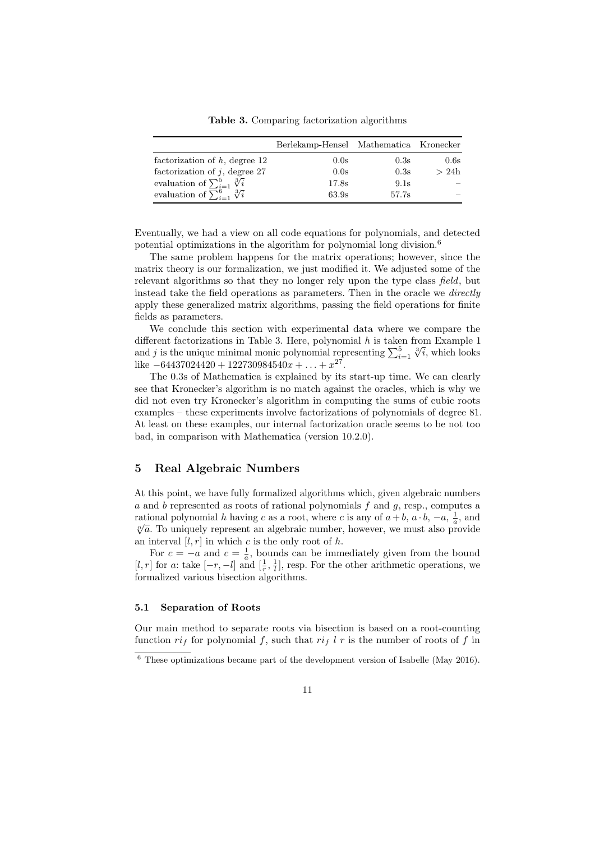<span id="page-10-2"></span>Table 3. Comparing factorization algorithms

|                                            | Berlekamp-Hensel Mathematica Kronecker |       |      |
|--------------------------------------------|----------------------------------------|-------|------|
| factorization of $h$ , degree 12           | 0.0s                                   | 0.3s  | 0.6s |
| factorization of $j$ , degree 27           | 0.0s                                   | 0.3s  | >24h |
| evaluation of $\sum_{i=1}^{5} \sqrt[3]{i}$ | 17.8s                                  | 9.1s  |      |
| evaluation of $\sum_{i=1}^6 \sqrt[3]{i}$   | 63.9s                                  | 57.7s |      |

Eventually, we had a view on all code equations for polynomials, and detected potential optimizations in the algorithm for polynomial long division.[6](#page-10-1)

The same problem happens for the matrix operations; however, since the matrix theory is our formalization, we just modified it. We adjusted some of the relevant algorithms so that they no longer rely upon the type class field, but instead take the field operations as parameters. Then in the oracle we *directly* apply these generalized matrix algorithms, passing the field operations for finite fields as parameters.

We conclude this section with experimental data where we compare the different factorizations in Table [3.](#page-10-2) Here, polynomial  $h$  is taken from Example [1](#page-0-0) and j is the unique minimal monic polynomial representing  $\sum_{i=1}^{5}$ rom Example 1<br> $\sqrt[3]{i}$ , which looks like  $-64437024420 + 122730984540x + ... + x^{27}$ .

The 0.3s of Mathematica is explained by its start-up time. We can clearly see that Kronecker's algorithm is no match against the oracles, which is why we did not even try Kronecker's algorithm in computing the sums of cubic roots examples – these experiments involve factorizations of polynomials of degree 81. At least on these examples, our internal factorization oracle seems to be not too bad, in comparison with Mathematica (version 10.2.0).

# <span id="page-10-0"></span>5 Real Algebraic Numbers

At this point, we have fully formalized algorithms which, given algebraic numbers  $a$  and  $b$  represented as roots of rational polynomials  $f$  and  $g$ , resp., computes a rational polynomial h having c as a root, where c is any of  $a + b$ ,  $a \cdot b$ ,  $-a$ ,  $\frac{1}{a}$ , and  $\sqrt[n]{a}$ . To uniquely represent an algebraic number, however, we must also provide an interval  $[l, r]$  in which c is the only root of h.

For  $c = -a$  and  $c = \frac{1}{a}$ , bounds can be immediately given from the bound [l, r] for a: take  $[-r, -l]$  and  $[\frac{1}{r}, \frac{1}{l}]$ , resp. For the other arithmetic operations, we formalized various bisection algorithms.

### 5.1 Separation of Roots

Our main method to separate roots via bisection is based on a root-counting function  $ri_f$  for polynomial f, such that  $ri_f$  l r is the number of roots of f in

<span id="page-10-1"></span> $6$  These optimizations became part of the development version of Isabelle (May 2016).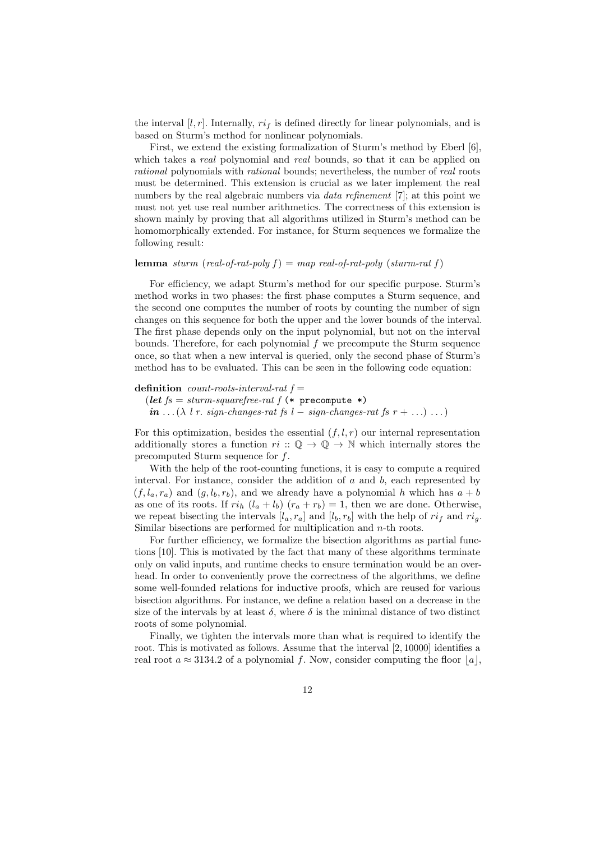the interval  $[l, r]$ . Internally,  $ri<sub>f</sub>$  is defined directly for linear polynomials, and is based on Sturm's method for nonlinear polynomials.

First, we extend the existing formalization of Sturm's method by Eberl [\[6\]](#page-16-4), which takes a real polynomial and real bounds, so that it can be applied on rational polynomials with rational bounds; nevertheless, the number of real roots must be determined. This extension is crucial as we later implement the real numbers by the real algebraic numbers via *data refinement* [\[7\]](#page-16-12); at this point we must not yet use real number arithmetics. The correctness of this extension is shown mainly by proving that all algorithms utilized in Sturm's method can be homomorphically extended. For instance, for Sturm sequences we formalize the following result:

### **lemma** sturm (real-of-rat-poly  $f$ ) = map real-of-rat-poly (sturm-rat  $f$ )

For efficiency, we adapt Sturm's method for our specific purpose. Sturm's method works in two phases: the first phase computes a Sturm sequence, and the second one computes the number of roots by counting the number of sign changes on this sequence for both the upper and the lower bounds of the interval. The first phase depends only on the input polynomial, but not on the interval bounds. Therefore, for each polynomial  $f$  we precompute the Sturm sequence once, so that when a new interval is queried, only the second phase of Sturm's method has to be evaluated. This can be seen in the following code equation:

### definition count-roots-interval-rat  $f =$

(let  $fs = sturm-squarefree-rat$  f (\* precompute \*)  $\sum_{i=1}^{n}$  in ...( $\lambda$  l r. sign-changes-rat fs l – sign-changes-rat fs r + ...) ...

For this optimization, besides the essential  $(f, l, r)$  our internal representation additionally stores a function  $ri$ :  $\mathbb{Q} \to \mathbb{Q} \to \mathbb{N}$  which internally stores the precomputed Sturm sequence for f.

With the help of the root-counting functions, it is easy to compute a required interval. For instance, consider the addition of  $a$  and  $b$ , each represented by  $(f, l_a, r_a)$  and  $(g, l_b, r_b)$ , and we already have a polynomial h which has  $a + b$ as one of its roots. If  $ri_h$   $(l_a + l_b)$   $(r_a + r_b) = 1$ , then we are done. Otherwise, we repeat bisecting the intervals  $[l_a, r_a]$  and  $[l_b, r_b]$  with the help of  $ri_f$  and  $ri_g$ . Similar bisections are performed for multiplication and  $n$ -th roots.

For further efficiency, we formalize the bisection algorithms as partial functions [\[10\]](#page-16-13). This is motivated by the fact that many of these algorithms terminate only on valid inputs, and runtime checks to ensure termination would be an overhead. In order to conveniently prove the correctness of the algorithms, we define some well-founded relations for inductive proofs, which are reused for various bisection algorithms. For instance, we define a relation based on a decrease in the size of the intervals by at least  $\delta$ , where  $\delta$  is the minimal distance of two distinct roots of some polynomial.

Finally, we tighten the intervals more than what is required to identify the root. This is motivated as follows. Assume that the interval [2, 10000] identifies a real root  $a \approx 3134.2$  of a polynomial f. Now, consider computing the floor  $|a|$ ,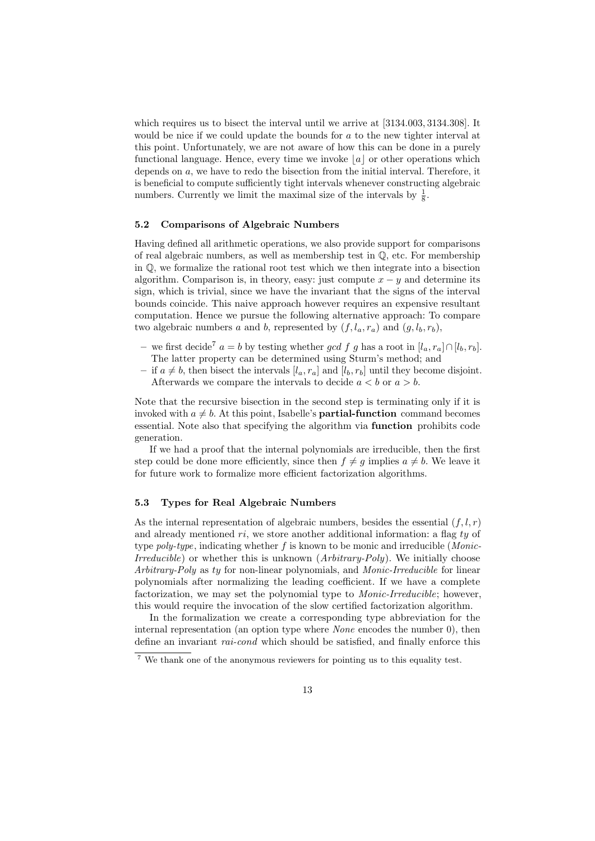which requires us to bisect the interval until we arrive at  $[3134.003, 3134.308]$ . It would be nice if we could update the bounds for a to the new tighter interval at this point. Unfortunately, we are not aware of how this can be done in a purely functional language. Hence, every time we invoke  $|a|$  or other operations which depends on a, we have to redo the bisection from the initial interval. Therefore, it is beneficial to compute sufficiently tight intervals whenever constructing algebraic numbers. Currently we limit the maximal size of the intervals by  $\frac{1}{8}$ .

### 5.2 Comparisons of Algebraic Numbers

Having defined all arithmetic operations, we also provide support for comparisons of real algebraic numbers, as well as membership test in Q, etc. For membership in Q, we formalize the rational root test which we then integrate into a bisection algorithm. Comparison is, in theory, easy: just compute  $x - y$  and determine its sign, which is trivial, since we have the invariant that the signs of the interval bounds coincide. This naive approach however requires an expensive resultant computation. Hence we pursue the following alternative approach: To compare two algebraic numbers a and b, represented by  $(f, l_a, r_a)$  and  $(g, l_b, r_b)$ ,

- we first decide<sup>[7](#page-12-0)</sup>  $a = b$  by testing whether gcd f q has a root in  $[l_a, r_a] \cap [l_b, r_b]$ . The latter property can be determined using Sturm's method; and
- if  $a \neq b$ , then bisect the intervals  $[l_a, r_a]$  and  $[l_b, r_b]$  until they become disjoint. Afterwards we compare the intervals to decide  $a < b$  or  $a > b$ .

Note that the recursive bisection in the second step is terminating only if it is invoked with  $a \neq b$ . At this point, Isabelle's **partial-function** command becomes essential. Note also that specifying the algorithm via function prohibits code generation.

If we had a proof that the internal polynomials are irreducible, then the first step could be done more efficiently, since then  $f \neq g$  implies  $a \neq b$ . We leave it for future work to formalize more efficient factorization algorithms.

### 5.3 Types for Real Algebraic Numbers

As the internal representation of algebraic numbers, besides the essential  $(f, l, r)$ and already mentioned ri, we store another additional information: a flag ty of type *poly-type*, indicating whether f is known to be monic and irreducible (*Monic-*Irreducible) or whether this is unknown (Arbitrary-Poly). We initially choose Arbitrary-Poly as ty for non-linear polynomials, and Monic-Irreducible for linear polynomials after normalizing the leading coefficient. If we have a complete factorization, we may set the polynomial type to *Monic-Irreducible*; however, this would require the invocation of the slow certified factorization algorithm.

In the formalization we create a corresponding type abbreviation for the internal representation (an option type where None encodes the number 0), then define an invariant *rai-cond* which should be satisfied, and finally enforce this

<span id="page-12-0"></span><sup>7</sup> We thank one of the anonymous reviewers for pointing us to this equality test.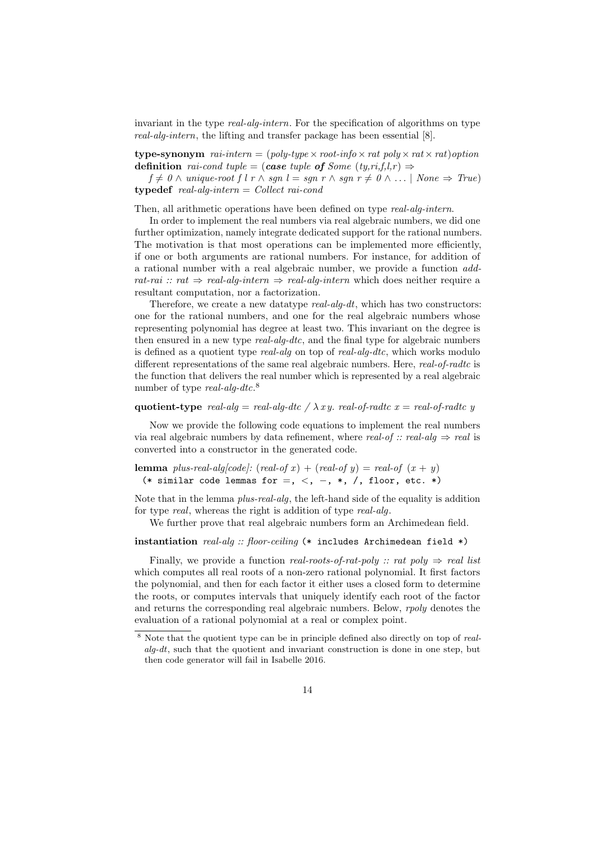invariant in the type *real-alg-intern*. For the specification of algorithms on type real-alg-intern, the lifting and transfer package has been essential [\[8\]](#page-16-14).

type-synonym rai-intern =  $(poly-type \times root-info \times rat poly \times rat \times rat)$  option definition rai-cond tuple = (case tuple of Some  $(ty,ri,f,l,r) \Rightarrow$ 

 $f \neq 0 \land unique-root f l r \land sgn l = sgn r \land sgn r \neq 0 \land ... \mid None \Rightarrow True)$  $$ 

Then, all arithmetic operations have been defined on type real-alg-intern.

In order to implement the real numbers via real algebraic numbers, we did one further optimization, namely integrate dedicated support for the rational numbers. The motivation is that most operations can be implemented more efficiently, if one or both arguments are rational numbers. For instance, for addition of a rational number with a real algebraic number, we provide a function addrat-rai :: rat  $\Rightarrow$  real-alg-intern  $\Rightarrow$  real-alg-intern which does neither require a resultant computation, nor a factorization.

Therefore, we create a new data type  $real\text{-}alg\text{-}dt$ , which has two constructors: one for the rational numbers, and one for the real algebraic numbers whose representing polynomial has degree at least two. This invariant on the degree is then ensured in a new type *real-alg-dtc*, and the final type for algebraic numbers is defined as a quotient type real-alg on top of real-alg-dtc, which works modulo different representations of the same real algebraic numbers. Here, real-of-radtc is the function that delivers the real number which is represented by a real algebraic number of type *real-alg-dtc*.<sup>[8](#page-13-0)</sup>

### quotient-type real-alg = real-alg-dtc /  $\lambda xy$ . real-of-radtc x = real-of-radtc y

Now we provide the following code equations to implement the real numbers via real algebraic numbers by data refinement, where real-of :: real-alg  $\Rightarrow$  real is converted into a constructor in the generated code.

lemma plus-real-alg[code]:  $(\text{real-of } x) + (\text{real-of } y) = \text{real-of } (x + y)$ (\* similar code lemmas for =, <, -, \*, /, floor, etc. \*)

Note that in the lemma plus-real-alg, the left-hand side of the equality is addition for type *real*, whereas the right is addition of type *real-alg*.

We further prove that real algebraic numbers form an Archimedean field.

### instantiation  $real\text{-}alg :: floor\text{-}ceiling$  (\* includes Archimedean field \*)

Finally, we provide a function real-roots-of-rat-poly :: rat poly  $\Rightarrow$  real list which computes all real roots of a non-zero rational polynomial. It first factors the polynomial, and then for each factor it either uses a closed form to determine the roots, or computes intervals that uniquely identify each root of the factor and returns the corresponding real algebraic numbers. Below, *rooly* denotes the evaluation of a rational polynomial at a real or complex point.

<span id="page-13-0"></span><sup>&</sup>lt;sup>8</sup> Note that the quotient type can be in principle defined also directly on top of *real* $alg-dt$ , such that the quotient and invariant construction is done in one step, but then code generator will fail in Isabelle 2016.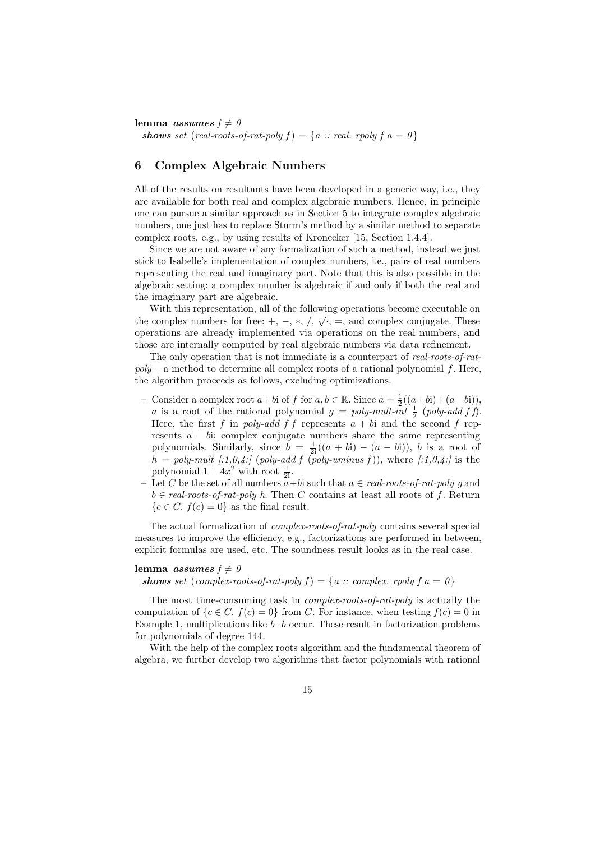lemma *assumes*  $f \neq 0$ shows set (real-roots-of-rat-poly  $f$ ) = {a :: real. rpoly  $f$  a = 0}

# <span id="page-14-0"></span>6 Complex Algebraic Numbers

All of the results on resultants have been developed in a generic way, i.e., they are available for both real and complex algebraic numbers. Hence, in principle one can pursue a similar approach as in Section [5](#page-10-0) to integrate complex algebraic numbers, one just has to replace Sturm's method by a similar method to separate complex roots, e.g., by using results of Kronecker [\[15,](#page-16-15) Section 1.4.4].

Since we are not aware of any formalization of such a method, instead we just stick to Isabelle's implementation of complex numbers, i.e., pairs of real numbers representing the real and imaginary part. Note that this is also possible in the algebraic setting: a complex number is algebraic if and only if both the real and the imaginary part are algebraic.

With this representation, all of the following operations become executable on the complex numbers for free:  $+, -, *, /, \sqrt{ } , =$ , and complex conjugate. These operations are already implemented via operations on the real numbers, and those are internally computed by real algebraic numbers via data refinement.

The only operation that is not immediate is a counterpart of real-roots-of-rat $poly - a$  method to determine all complex roots of a rational polynomial f. Here, the algorithm proceeds as follows, excluding optimizations.

- Consider a complex root  $a + b$ i of  $f$  for  $a, b \in \mathbb{R}$ . Since  $a = \frac{1}{2}((a + b\mathbf{i}) + (a b\mathbf{i})),$ a is a root of the rational polynomial  $g = poly-mult-rat \frac{1}{2}$  (poly-add f f). Here, the first f in poly-add f f represents  $a + bi$  and the second f represents  $a - bi$ ; complex conjugate numbers share the same representing polynomials. Similarly, since  $b = \frac{1}{2i}((a + bi) - (a - bi))$ , b is a root of  $h = poly-mult$  [:1,0,4:] (poly-add f (poly-uminus f)), where [:1,0,4:] is the polynomial  $1 + 4x^2$  with root  $\frac{1}{2i}$ .
- Let C be the set of all numbers  $\overline{a}$  + bi such that  $a \in real\text{-}roots\text{-}of\text{-}rat\text{-}poly g$  and  $b \in real-roots-of-rat-poly h$ . Then C contains at least all roots of f. Return  ${c \in C$ .  $f(c) = 0}$  as the final result.

The actual formalization of complex-roots-of-rat-poly contains several special measures to improve the efficiency, e.g., factorizations are performed in between, explicit formulas are used, etc. The soundness result looks as in the real case.

### lemma *assumes*  $f \neq 0$

shows set (complex-roots-of-rat-poly  $f$ ) = {a :: complex. rpoly  $f$  a = 0}

The most time-consuming task in complex-roots-of-rat-poly is actually the computation of  $\{c \in C, f(c) = 0\}$  from C. For instance, when testing  $f(c) = 0$  in Example [1,](#page-0-0) multiplications like  $b \cdot b$  occur. These result in factorization problems for polynomials of degree 144.

With the help of the complex roots algorithm and the fundamental theorem of algebra, we further develop two algorithms that factor polynomials with rational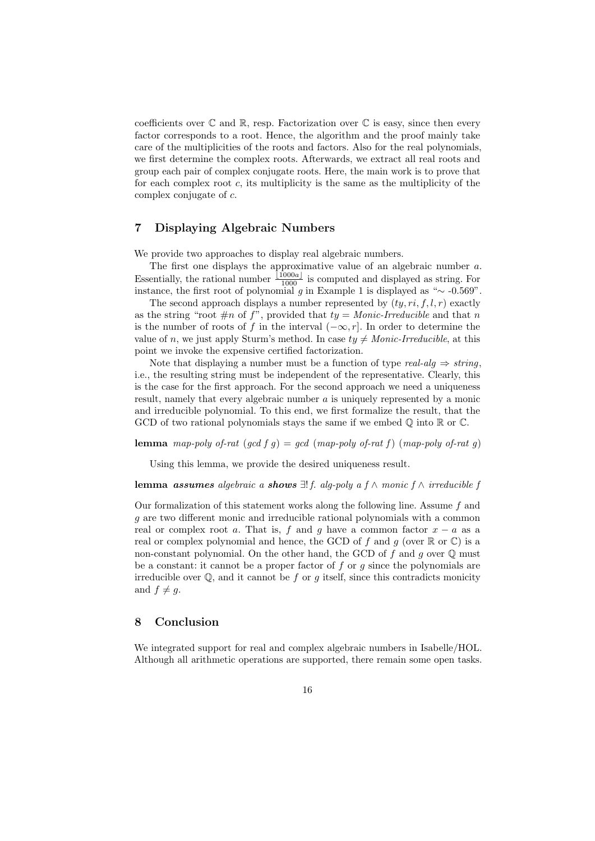coefficients over  $\mathbb C$  and  $\mathbb R$ , resp. Factorization over  $\mathbb C$  is easy, since then every factor corresponds to a root. Hence, the algorithm and the proof mainly take care of the multiplicities of the roots and factors. Also for the real polynomials, we first determine the complex roots. Afterwards, we extract all real roots and group each pair of complex conjugate roots. Here, the main work is to prove that for each complex root  $c$ , its multiplicity is the same as the multiplicity of the complex conjugate of c.

# <span id="page-15-0"></span>7 Displaying Algebraic Numbers

We provide two approaches to display real algebraic numbers.

The first one displays the approximative value of an algebraic number a. Essentially, the rational number  $\frac{1000a_1}{1000}$  is computed and displayed as string. For instance, the first root of polynomial g in Example [1](#page-0-0) is displayed as " $\sim$  -0.569".

The second approach displays a number represented by  $(ty, ri, f, l, r)$  exactly as the string "root  $\#n$  of f", provided that  $ty = \text{Monic-Irreducible}$  and that n is the number of roots of f in the interval  $(-\infty, r]$ . In order to determine the value of n, we just apply Sturm's method. In case  $t\bar{y} \neq \text{Monic-Irreducible}$ , at this point we invoke the expensive certified factorization.

Note that displaying a number must be a function of type real-alg  $\Rightarrow$  string, i.e., the resulting string must be independent of the representative. Clearly, this is the case for the first approach. For the second approach we need a uniqueness result, namely that every algebraic number a is uniquely represented by a monic and irreducible polynomial. To this end, we first formalize the result, that the GCD of two rational polynomials stays the same if we embed  $\mathbb Q$  into  $\mathbb R$  or  $\mathbb C$ .

lemma map-poly of-rat  $(\gcd f g) = \gcd (map-poly of-rat f)$   $(map-poly of-rat g)$ 

Using this lemma, we provide the desired uniqueness result.

lemma assumes algebraic a shows  $\exists ! f$ . alg-poly a f ∧ monic f ∧ irreducible f

Our formalization of this statement works along the following line. Assume  $f$  and g are two different monic and irreducible rational polynomials with a common real or complex root a. That is, f and g have a common factor  $x - a$  as a real or complex polynomial and hence, the GCD of f and g (over  $\mathbb R$  or  $\mathbb C$ ) is a non-constant polynomial. On the other hand, the GCD of f and q over  $\mathbb Q$  must be a constant: it cannot be a proper factor of f or q since the polynomials are irreducible over  $\mathbb{Q}$ , and it cannot be f or q itself, since this contradicts monicity and  $f \neq q$ .

## 8 Conclusion

We integrated support for real and complex algebraic numbers in Isabelle/HOL. Although all arithmetic operations are supported, there remain some open tasks.